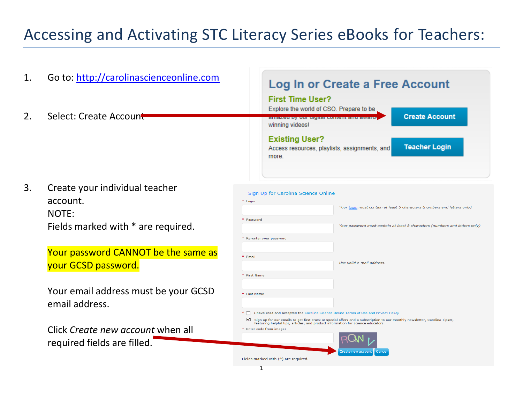# Accessing and Activating STC Literacy Series eBooks for Teachers:

| 1. | Go to: http://carolinascienceonline.com                                                   | Log In or Create a Free Account                                                                                                                                                                                                                   |  |
|----|-------------------------------------------------------------------------------------------|---------------------------------------------------------------------------------------------------------------------------------------------------------------------------------------------------------------------------------------------------|--|
| 2. | Select: Create Account                                                                    | <b>First Time User?</b><br>Explore the world of CSO. Prepare to be<br><b>Create Account</b><br>amazeu by our urgital content and awaru<br>winning videos!                                                                                         |  |
|    |                                                                                           | <b>Existing User?</b><br><b>Teacher Login</b><br>Access resources, playlists, assignments, and<br>more.                                                                                                                                           |  |
| 3. | Create your individual teacher<br>account.<br>NOTE:<br>Fields marked with * are required. | Sign Up for Carolina Science Online<br>* Login<br>Your login must contain at least 5 characters (numbers and letters only)<br>* Password<br>Your password must contain at least 8 characters (numbers and letters only)<br>Re-enter your password |  |
|    | Your password CANNOT be the same as<br>your GCSD password.                                | * Email<br>Use valid e-mail address.<br>* First Name                                                                                                                                                                                              |  |
|    | Your email address must be your GCSD<br>email address.                                    | * Last Name<br>*   I have read and accepted the Carolina Science Online Terms of Use and Privacy Policy<br>✔<br>Sign up for our emails to get first crack at special offers and a subscription to our monthly newsletter, Carolina Tips®,         |  |
|    | Click Create new account when all<br>required fields are filled.                          | featuring helpful tips, articles, and product information for science educators.<br>* Enter code from image:<br>Fields marked with (*) are required.                                                                                              |  |
|    |                                                                                           | 1                                                                                                                                                                                                                                                 |  |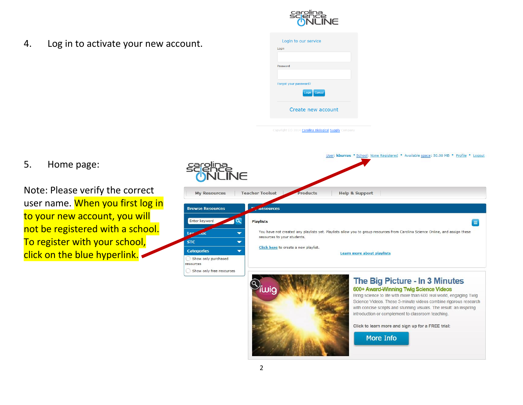

4. Log in to activate your new account.

| Login    |                        |
|----------|------------------------|
|          |                        |
|          |                        |
| Password |                        |
|          |                        |
|          | Forgot your password?  |
|          | Cancel<br><b>Login</b> |
|          | Create new account     |

Copyright (c) 2014 Carolina Biological Supply Company

5. Home page:

Note: Please verify the correct user name. When you first log in to your new account, you will not be registered with a school. To register with your school, click on the blue hyperlink.





#### introduction or complement to classroom teaching. Click to learn more and sign up for a FREE trial:

**More Info**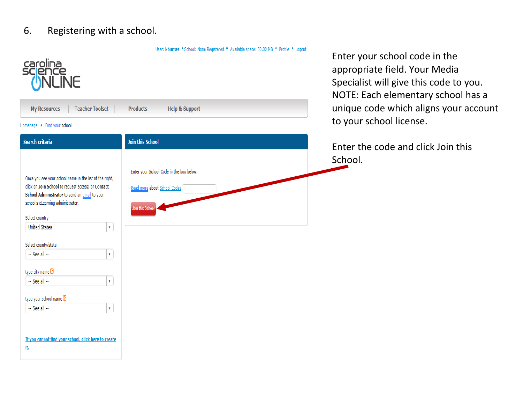### 6. Registering with a school.

| <sup>carolina</sup><br>scjence<br>( <mark>)</mark> NLINE                                                                                                                                                                                                                                                                                                                                                                                                                           |                                                                                              |  |  |  |  |  |
|------------------------------------------------------------------------------------------------------------------------------------------------------------------------------------------------------------------------------------------------------------------------------------------------------------------------------------------------------------------------------------------------------------------------------------------------------------------------------------|----------------------------------------------------------------------------------------------|--|--|--|--|--|
| <b>Teacher Toolset</b><br><b>Help &amp; Support</b><br><b>My Resources</b><br><b>Products</b>                                                                                                                                                                                                                                                                                                                                                                                      |                                                                                              |  |  |  |  |  |
| Find your school<br>Homepage .                                                                                                                                                                                                                                                                                                                                                                                                                                                     |                                                                                              |  |  |  |  |  |
| <b>Search criteria</b>                                                                                                                                                                                                                                                                                                                                                                                                                                                             | <b>Join this School</b>                                                                      |  |  |  |  |  |
| Once you see your school name in the list at the right,<br>click on Join School to request access; or Contact<br>School Administrator to send an email to your<br>school's eLearning administrator.<br>Select country<br><b>United States</b><br>$\overline{\mathbf{v}}$<br>Select county/state<br>-- See all --<br>$\overline{\mathbf{v}}$<br>type city name 2<br>-- See all --<br>$\overline{\mathbf{v}}$<br>type your school name 2<br>-- See all --<br>$\overline{\mathbf{v}}$ | Enter your School Code in the box below.<br>Read more about School Codes<br>Join this School |  |  |  |  |  |
| If you cannot find your school, click here to create<br>jt,                                                                                                                                                                                                                                                                                                                                                                                                                        |                                                                                              |  |  |  |  |  |

User: kburras . School: None Registered . Available space: 50.00 MB . Profile . Logout

<u>.</u>

Enter your school code in the appropriate field. Your Media Specialist will give this code to you. NOTE: Each elementary school has a unique code which aligns your account to your school license.

Enter the code and click Join this School.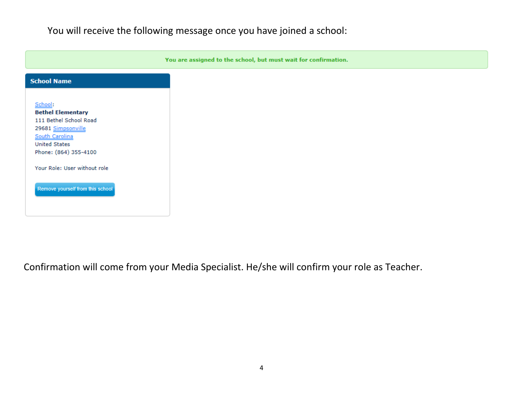You will receive the following message once you have joined a school:

You are assigned to the school, but must wait for confirmation.

| School:<br><b>Bethel Elementary</b><br>111 Bethel School Road<br>29681 Simpsonville<br>South Carolina |  |
|-------------------------------------------------------------------------------------------------------|--|
| <b>United States</b><br>Phone: (864) 355-4100<br>Your Role: User without role                         |  |
| Remove yourself from this school                                                                      |  |

Confirmation will come from your Media Specialist. He/she will confirm your role as Teacher.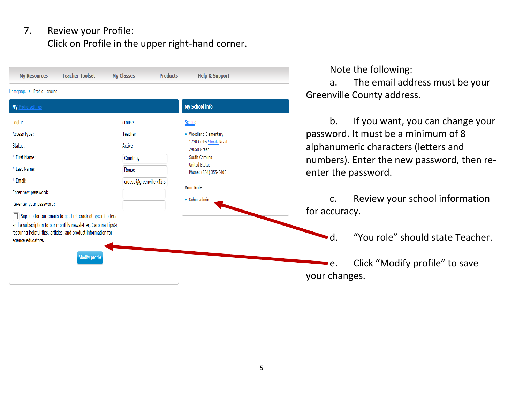# 7. Review your Profile: Click on Profile in the upper right-hand corner.

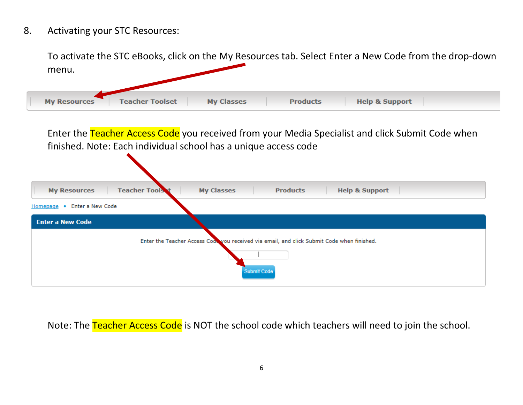8. Activating your STC Resources:

To activate the STC eBooks, click on the My Resources tab. Select Enter a New Code from the drop-down menu. **Teacher Toolset My Resources My Classes Products Help & Support** 

Enter the Teacher Access Code you received from your Media Specialist and click Submit Code when finished. Note: Each individual school has a unique access code

| <b>Teacher Tools t</b><br><b>Products</b><br><b>Help &amp; Support</b><br><b>My Resources</b><br><b>My Classes</b> |  |  |  |  |  |  |
|--------------------------------------------------------------------------------------------------------------------|--|--|--|--|--|--|
| Enter a New Code<br>Homepage .                                                                                     |  |  |  |  |  |  |
| <b>Enter a New Code</b>                                                                                            |  |  |  |  |  |  |
| Enter the Teacher Access Cod you received via email, and click Submit Code when finished.<br>Submit Code           |  |  |  |  |  |  |

Note: The Teacher Access Code is NOT the school code which teachers will need to join the school.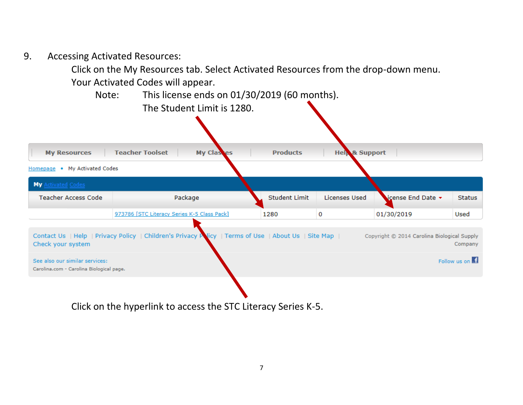9. Accessing Activated Resources:

Click on the My Resources tab. Select Activated Resources from the drop-down menu.

Your Activated Codes will appear.



Click on the hyperlink to access the STC Literacy Series K-5.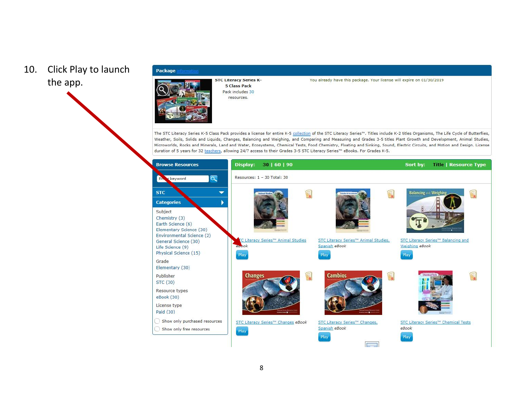# 10. Click Play to launch the app.



#### Package



You already have this package. Your license will expire on 01/30/2019

The STC Literacy Series K-5 Class Pack provides a license for entire K-5 collection of the STC Literacy Series™. Titles include K-2 titles Organisms, The Life Cycle of Butterflies, Weather, Soils, Solids and Liquids, Changes, Balancing and Weighing, and Comparing and Measuring and Grades 3-5 titles Plant Growth and Development, Animal Studies, Microworlds, Rocks and Minerals, Land and Water, Ecosystems, Chemical Tests, Food Chemistry, Floating and Sinking, Sound, Electric Circuits, and Motion and Design. License duration of 5 years for 32 teachers, allowing 24/7 access to their Grades 3-5 STC Literacy Series™ eBooks. For Grades K-5.

| <b>Browse Resources</b>                                                                                                                                                              | 30   60   90<br>Display:                                                                                                                                   | Sort by:<br><b>Title   Resource Type</b>                                              |
|--------------------------------------------------------------------------------------------------------------------------------------------------------------------------------------|------------------------------------------------------------------------------------------------------------------------------------------------------------|---------------------------------------------------------------------------------------|
| $\alpha$<br>r keyword<br>Eh.                                                                                                                                                         | Resources: 1 - 30 Total: 30                                                                                                                                |                                                                                       |
| <b>STC</b><br><b>Categories</b><br>Subject<br>Chemistry (3)<br>Earth Science (6)<br>Elementary Science (30)<br>Environmental Science (2)<br>General Science (30)<br>Life Science (9) | F<br><b>Animust St</b><br><b>Extendion die box</b><br>TC Literacy Series™ Animal Studies<br>STC Literacy Series™ Animal Studies,<br>epbok<br>Spanish eBook | <b>Balancing and Weighing</b><br>STC Literacy Series™ Balancing and<br>Weighing eBook |
| Physical Science (15)<br>Grade                                                                                                                                                       | Play<br>Play                                                                                                                                               | Play                                                                                  |
| Elementary (30)<br>Publisher<br>STC (30)<br>Resource types<br>eBook (30)                                                                                                             | <b>Cambios</b><br><b>Changes</b><br>F<br>F                                                                                                                 |                                                                                       |
| License type<br>Paid (30)                                                                                                                                                            |                                                                                                                                                            |                                                                                       |
| Show only purchased resources<br>Show only free resources                                                                                                                            | STC Literacy Series™ Changes eBook<br>STC Literacy Series™ Changes,<br>Spanish eBook<br>Play<br>Play                                                       | STC Literacy Series™ Chemical Tests<br>eBook<br>Play                                  |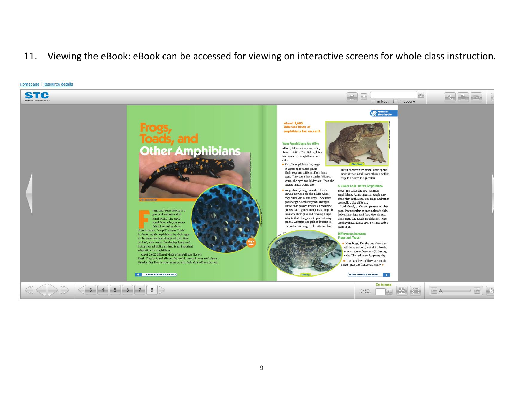### 11. Viewing the eBook: eBook can be accessed for viewing on interactive screens for whole class instruction.